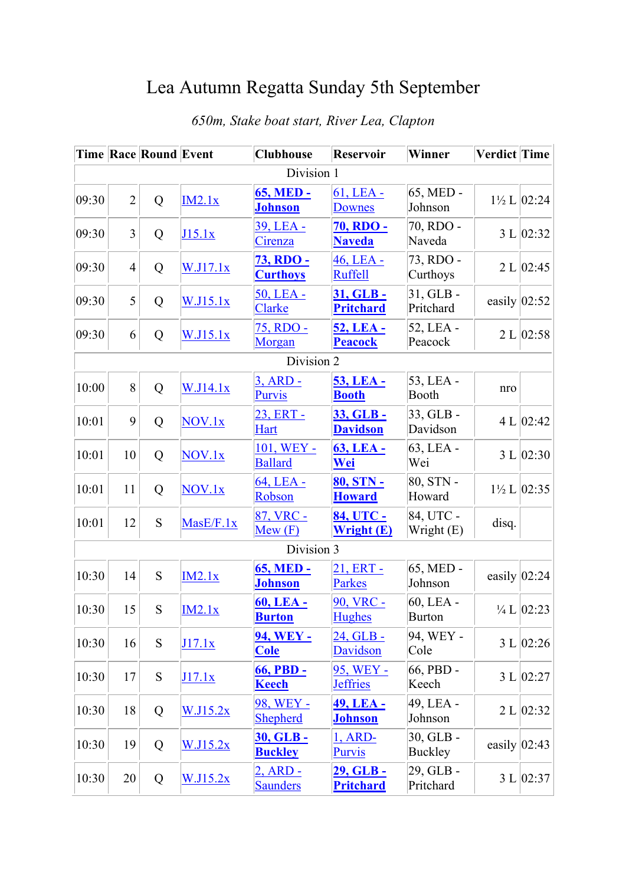## Lea Autumn Regatta Sunday 5th September

|            |                | <b>Time Race Round Event</b> |             | <b>Clubhouse</b>                    | <b>Reservoir</b>                       | Winner                      | <b>Verdict Time</b> |                           |  |
|------------|----------------|------------------------------|-------------|-------------------------------------|----------------------------------------|-----------------------------|---------------------|---------------------------|--|
| Division 1 |                |                              |             |                                     |                                        |                             |                     |                           |  |
| 09:30      | $\overline{2}$ | Q                            | IM2.1x      | <b>65, MED -</b><br><b>Johnson</b>  | $61$ , LEA -<br><b>Downes</b>          | 65, MED -<br>Johnson        |                     | $1\frac{1}{2}$ L $ 02:24$ |  |
| 09:30      | 3              | Q                            | J15.1x      | 39, LEA -<br>Cirenza                | <b>70, RDO -</b><br><b>Naveda</b>      | 70, RDO -<br>Naveda         |                     | 3 L   02:32               |  |
| 09:30      | $\overline{4}$ | Q                            | W.J17.1x    | <b>73, RDO -</b><br><b>Curthoys</b> | 46, LEA -<br><b>Ruffell</b>            | 73, RDO -<br>Curthoys       |                     | 2 L   02:45               |  |
| 09:30      | 5              | Q                            | W.J15.1x    | 50, LEA -<br>Clarke                 | 31, GLB -<br><b>Pritchard</b>          | 31, GLB -<br>Pritchard      | easily $ 02:52 $    |                           |  |
| 09:30      | 6              | Q                            | W.J15.1x    | 75, RDO -<br>Morgan                 | 52, LEA -<br><b>Peacock</b>            | 52, LEA -<br>Peacock        |                     | 2 L   02:58               |  |
|            |                |                              |             | Division 2                          |                                        |                             |                     |                           |  |
| 10:00      | 8              | Q                            | W.J14.1x    | $3, ARD -$<br><b>Purvis</b>         | 53, LEA -<br><b>Booth</b>              | 53, LEA -<br>Booth          | nro                 |                           |  |
| 10:01      | 9              | Q                            | $NOV_{.}1x$ | 23, ERT -<br><b>Hart</b>            | 33, GLB -<br><b>Davidson</b>           | 33, GLB -<br>Davidson       |                     | 4 L $ 02:42$              |  |
| 10:01      | 10             | Q                            | NOV.1x      | 101, WEY -<br><b>Ballard</b>        | <b>63, LEA -</b><br>Wei                | 63, LEA -<br>Wei            |                     | 3 L   02:30               |  |
| 10:01      | 11             | Q                            | NOV.1x      | 64, LEA -<br>Robson                 | 80, STN -<br><b>Howard</b>             | 80, STN -<br>Howard         |                     | $1\frac{1}{2}$ L   02:35  |  |
| 10:01      | 12             | S                            | Mase/F.1x   | 87, VRC -<br>Mew(F)                 | 84, UTC -<br>Wright (E)                | 84, UTC -<br>Wright (E)     | disq.               |                           |  |
|            |                |                              |             | Division 3                          |                                        |                             |                     |                           |  |
| 10:30      | 14             | S                            | IM2.1x      | <b>65, MED -</b><br><b>Johnson</b>  | 21, ERT -<br><b>Parkes</b>             | 65, MED -<br>Johnson        | easily $ 02:24$     |                           |  |
| 10:30      | 15             | S                            | IM2.1x      | 60, LEA -<br><b>Burton</b>          | 90, VRC -<br><b>Hughes</b>             | 60, LEA -<br><b>Burton</b>  |                     | $\frac{1}{4}$ L   02:23   |  |
| 10:30      | 16             | ${\bf S}$                    | J17.1x      | <b>94, WEY -</b><br><b>Cole</b>     | 24, GLB -<br><b>Davidson</b>           | 94, WEY -<br>Cole           |                     | 3 L   02:26               |  |
| 10:30      | 17             | S                            | J17.1x      | 66, PBD -<br><b>Keech</b>           | 95, WEY -<br><b>Jeffries</b>           | 66, PBD -<br>Keech          |                     | 3 L   02:27               |  |
| 10:30      | 18             | Q                            | W.J15.2x    | 98, WEY -<br><b>Shepherd</b>        | 49, LEA -<br><b>Johnson</b>            | 49, LEA -<br>Johnson        |                     | 2 L   02:32               |  |
| 10:30      | 19             | Q                            | W.I15.2x    | 30, GLB -<br><b>Buckley</b>         | $1, ARD-$<br><b>Purvis</b>             | 30, GLB -<br><b>Buckley</b> | easily $ 02:43$     |                           |  |
| 10:30      | 20             | Q                            | W.J15.2x    | $2,$ ARD -<br><b>Saunders</b>       | <u> 29, GLB - </u><br><b>Pritchard</b> | 29, GLB -<br>Pritchard      |                     | 3 L   02:37               |  |

## *650m, Stake boat start, River Lea, Clapton*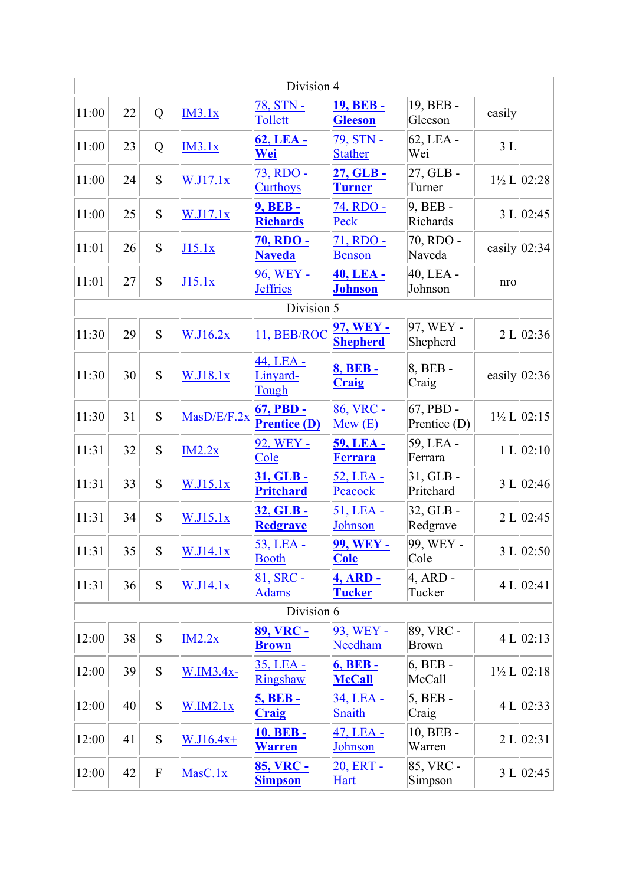|       |    |           |                   | Division 4                         |                                    |                           |                  |                           |
|-------|----|-----------|-------------------|------------------------------------|------------------------------------|---------------------------|------------------|---------------------------|
| 11:00 | 22 | Q         | IM3.1x            | 78, STN -<br>Tollett               | <b>19, BEB -</b><br><b>Gleeson</b> | 19, BEB -<br>Gleeson      | easily           |                           |
| 11:00 | 23 | Q         | IM3.1x            | 62, LEA -<br><u>Wei</u>            | 79, STN -<br><b>Stather</b>        | 62, LEA -<br>Wei          | 3L               |                           |
| 11:00 | 24 | S         | W.J17.1x          | 73, RDO -<br><b>Curthoys</b>       | 27, GLB-<br><u>Turner</u>          | 27, GLB -<br>Turner       |                  | $1\frac{1}{2}$ L $ 02:28$ |
| 11:00 | 25 | S         | W.J17.1x          | 9, BEB -<br><b>Richards</b>        | 74, RDO -<br>Peck                  | $9, BEB -$<br>Richards    |                  | 3 L   02:45               |
| 11:01 | 26 | S         | J15.1x            | <u>70, RDO - </u><br><b>Naveda</b> | 71, RDO -<br><b>Benson</b>         | 70, RDO -<br>Naveda       | easily $ 02:34 $ |                           |
| 11:01 | 27 | S         | J15.1x            | 96, WEY -<br><b>Jeffries</b>       | 40, LEA -<br><b>Johnson</b>        | 40, LEA -<br>Johnson      | nro              |                           |
|       |    |           |                   | Division 5                         |                                    |                           |                  |                           |
| 11:30 | 29 | S         | W.J16.2x          | 11, BEB/ROC                        | 97, WEY -<br><b>Shepherd</b>       | 97, WEY -<br>Shepherd     |                  | 2 L   02:36               |
| 11:30 | 30 | S         | W.J18.1x          | 44, LEA -<br>Linyard-<br>Tough     | <b>8, BEB-</b><br>Craig            | 8, BEB -<br>Craig         | easily $ 02:36 $ |                           |
| 11:30 | 31 | S         | $Ma$ s $D/E/F.2x$ | 67, PBD -<br><b>Prentice (D)</b>   | 86, VRC -<br>Mew(E)                | 67, PBD -<br>Prentice (D) |                  | $1\frac{1}{2}$ L $ 02:15$ |
| 11:31 | 32 | S         | IM2.2x            | 92, WEY -<br>Cole                  | <b>59, LEA -</b><br><b>Ferrara</b> | 59, LEA -<br>Ferrara      |                  | 1 L   02:10               |
| 11:31 | 33 | S         | W.J15.1x          | 31, GLB -<br><b>Pritchard</b>      | 52, LEA -<br>Peacock               | $31, GLB -$<br>Pritchard  |                  | 3 L   02:46               |
| 11:31 | 34 | S         | W.J15.1x          | 32, GLB-<br><b>Redgrave</b>        | $51,$ LEA -<br>Johnson             | 32, GLB -<br>Redgrave     |                  | 2 L   02:45               |
| 11:31 | 35 | S         | W.J14.1x          | 53, LEA -<br><b>Booth</b>          | 99, WEY -<br><b>Cole</b>           | 99, WEY -<br>Cole         |                  | 3 L   02:50               |
| 11:31 | 36 | S         | W.J14.1x          | 81, SRC -<br><b>Adams</b>          | 4, ARD -<br><b>Tucker</b>          | $4$ , ARD -<br>Tucker     |                  | 4 L $ 02:41 $             |
|       |    |           |                   | Division 6                         |                                    |                           |                  |                           |
| 12:00 | 38 | ${\bf S}$ | IM2.2x            | 89, VRC -<br><b>Brown</b>          | 93, WEY -<br>Needham               | 89, VRC -<br><b>Brown</b> |                  | 4 L   02:13               |
| 12:00 | 39 | S         | W.IM3.4x-         | 35, LEA -<br><b>Ringshaw</b>       | <b>6, BEB -</b><br><b>McCall</b>   | 6, BEB -<br>McCall        |                  | $1\frac{1}{2}$ L $ 02:18$ |
| 12:00 | 40 | S         | W.IM2.1x          | <b>5, BEB -</b><br><b>Craig</b>    | 34, LEA -<br><b>Snaith</b>         | $5, BEB -$<br>Craig       |                  | 4 L $ 02:33 $             |
| 12:00 | 41 | S         | $W.I16.4x+$       | <b>10, BEB-</b><br><b>Warren</b>   | 47, LEA -<br>Johnson               | 10, BEB -<br>Warren       |                  | 2 L   02:31               |
| 12:00 | 42 | ${\bf F}$ | MasC.1x           | 85, VRC -<br><b>Simpson</b>        | 20, ERT -<br><b>Hart</b>           | 85, VRC -<br>Simpson      |                  | 3 L   02:45               |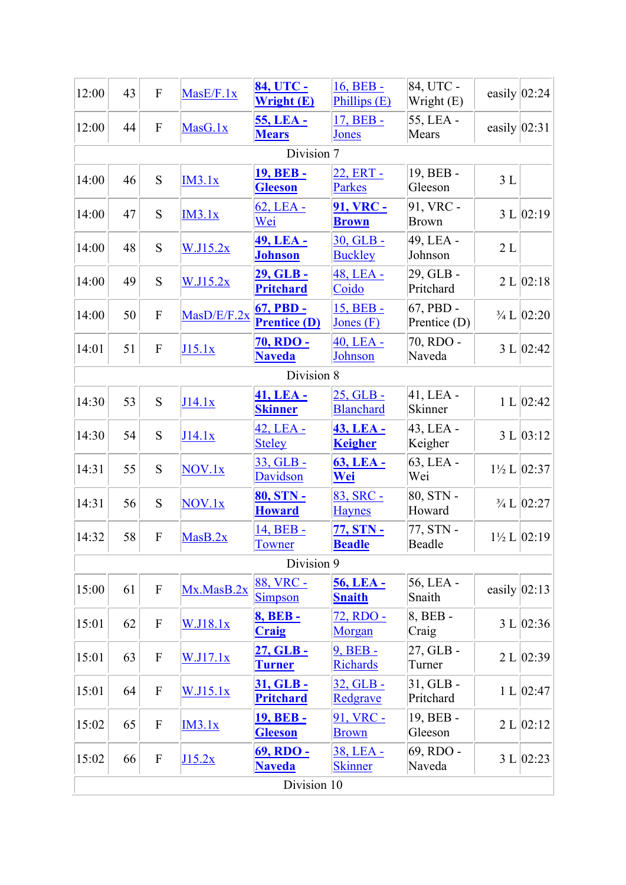| 55, LEA -<br>17, BEB -<br><b>55, LEA -</b><br>44<br>${\bf F}$<br>easily $ 02:31 $<br>MasG.1x<br><b>Mears</b><br>Mears<br><b>Jones</b><br>Division 7<br><b>19, BEB -</b><br>22, ERT -<br>19, BEB -<br>S<br>3L<br>46<br>IM3.1x<br><b>Gleeson</b><br>Parkes<br>Gleeson<br>91, VRC -<br><b>91, VRC -</b><br>$62$ , LEA -<br>S<br>3 L   02:19  <br>47<br>IM3.1x<br>Wei<br><b>Brown</b><br><b>Brown</b><br>30, GLB -<br>49, LEA -<br><b>49, LEA -</b><br>48<br>S<br>2L<br>W.I15.2x<br><b>Johnson</b><br><b>Buckley</b><br>Johnson<br>29, GLB -<br>29, GLB -<br>48, LEA -<br>49<br>S<br>2 L   02:18<br>W.J15.2x<br>Coido<br><b>Pritchard</b><br>Pritchard<br>15, BEB -<br>67, PBD -<br>67, PBD -<br>50<br>${\bf F}$<br>MasD/E/F.2x<br>$\frac{3}{4}$ L $\left 02:20\right\rangle$<br><b>Prentice (D)</b><br>Prentice (D)<br>Jones $(F)$<br>70, RDO -<br><b>70, RDO -</b><br>40, LEA -<br>51<br>3 L   02:42<br>${\bf F}$<br>J15.1x<br>Johnson<br><b>Naveda</b><br>Naveda<br>Division 8<br>41, LEA -<br>41, LEA -<br>$25,$ GLB -<br>53<br>S<br>1 L   02:42<br>J14.1x<br>Blanchard<br>Skinner<br><b>Skinner</b><br>42, LEA -<br>43, LEA -<br>43, LEA -<br>S<br>54<br>3 L   03:12<br>J14.1x<br><b>Steley</b><br><b>Keigher</b><br>Keigher<br>63, LEA -<br>33, GLB -<br>63, LEA -<br>55<br>S<br>$1\frac{1}{2}$ L $ 02:37 $<br>NOV.1x<br>Davidson<br><u>Wei</u><br>Wei<br>83, SRC -<br>80, STN -<br>80, STN -<br>56<br>${\bf S}$<br>NOV.1x<br>$\frac{3}{4}$ L $ 02:27$<br>Howard<br><b>Haynes</b><br><b>Howard</b><br>14, BEB -<br>77, STN -<br>77, STN -<br>58<br>${\bf F}$<br>$1\frac{1}{2}$ L $ 02:19 $<br>MasB.2x<br><b>Beadle</b><br>Beadle<br><b>Towner</b><br>Division 9<br>88, VRC -<br>56, LEA -<br>56, LEA -<br>easily $ 02:13$<br>Mx.MasB.2x<br>61<br>$\boldsymbol{F}$<br>Simpson<br><b>Snaith</b><br>Snaith<br>8, BEB -<br>72, RDO -<br><b>8, BEB-</b><br>3 L   02:36  <br>62<br>$\boldsymbol{\mathrm{F}}$<br>W.J18.1x<br>Morgan<br>Craig<br><b>Craig</b><br>9, BEB -<br>27, GLB -<br>27, GLB-<br>2 L   02:39<br>63<br>$\boldsymbol{\mathrm{F}}$<br>W.J17.1x<br><b>Richards</b><br>Turner<br><b>Turner</b><br>$31, GLB -$<br>31, GLB -<br>$32, GLB -$<br>64<br>$\boldsymbol{\mathrm{F}}$<br>1 L   02:47<br><u>W.J15.1x</u><br><b>Pritchard</b><br>Pritchard<br>Redgrave<br>19, BEB -<br>91, VRC -<br><b>19, BEB -</b><br>65<br>$\mathbf F$<br>2 L   02:12<br>IM3.1x<br>Gleeson<br><b>Gleeson</b><br><b>Brown</b> | 12:00 | 43 | ${\bf F}$ | MasE/F.1x | 84, UTC -<br>Wright (E) | 16, BEB -<br>Phillips (E) | 84, UTC -<br>Wright (E) | easily $ 02:24 $ |  |
|----------------------------------------------------------------------------------------------------------------------------------------------------------------------------------------------------------------------------------------------------------------------------------------------------------------------------------------------------------------------------------------------------------------------------------------------------------------------------------------------------------------------------------------------------------------------------------------------------------------------------------------------------------------------------------------------------------------------------------------------------------------------------------------------------------------------------------------------------------------------------------------------------------------------------------------------------------------------------------------------------------------------------------------------------------------------------------------------------------------------------------------------------------------------------------------------------------------------------------------------------------------------------------------------------------------------------------------------------------------------------------------------------------------------------------------------------------------------------------------------------------------------------------------------------------------------------------------------------------------------------------------------------------------------------------------------------------------------------------------------------------------------------------------------------------------------------------------------------------------------------------------------------------------------------------------------------------------------------------------------------------------------------------------------------------------------------------------------------------------------------------------------------------------------------------------------------------------------------------------------------------------------------------------------------------------------------------------------------------------------------------------------------------------|-------|----|-----------|-----------|-------------------------|---------------------------|-------------------------|------------------|--|
|                                                                                                                                                                                                                                                                                                                                                                                                                                                                                                                                                                                                                                                                                                                                                                                                                                                                                                                                                                                                                                                                                                                                                                                                                                                                                                                                                                                                                                                                                                                                                                                                                                                                                                                                                                                                                                                                                                                                                                                                                                                                                                                                                                                                                                                                                                                                                                                                                | 12:00 |    |           |           |                         |                           |                         |                  |  |
|                                                                                                                                                                                                                                                                                                                                                                                                                                                                                                                                                                                                                                                                                                                                                                                                                                                                                                                                                                                                                                                                                                                                                                                                                                                                                                                                                                                                                                                                                                                                                                                                                                                                                                                                                                                                                                                                                                                                                                                                                                                                                                                                                                                                                                                                                                                                                                                                                |       |    |           |           |                         |                           |                         |                  |  |
|                                                                                                                                                                                                                                                                                                                                                                                                                                                                                                                                                                                                                                                                                                                                                                                                                                                                                                                                                                                                                                                                                                                                                                                                                                                                                                                                                                                                                                                                                                                                                                                                                                                                                                                                                                                                                                                                                                                                                                                                                                                                                                                                                                                                                                                                                                                                                                                                                | 14:00 |    |           |           |                         |                           |                         |                  |  |
|                                                                                                                                                                                                                                                                                                                                                                                                                                                                                                                                                                                                                                                                                                                                                                                                                                                                                                                                                                                                                                                                                                                                                                                                                                                                                                                                                                                                                                                                                                                                                                                                                                                                                                                                                                                                                                                                                                                                                                                                                                                                                                                                                                                                                                                                                                                                                                                                                | 14:00 |    |           |           |                         |                           |                         |                  |  |
|                                                                                                                                                                                                                                                                                                                                                                                                                                                                                                                                                                                                                                                                                                                                                                                                                                                                                                                                                                                                                                                                                                                                                                                                                                                                                                                                                                                                                                                                                                                                                                                                                                                                                                                                                                                                                                                                                                                                                                                                                                                                                                                                                                                                                                                                                                                                                                                                                | 14:00 |    |           |           |                         |                           |                         |                  |  |
|                                                                                                                                                                                                                                                                                                                                                                                                                                                                                                                                                                                                                                                                                                                                                                                                                                                                                                                                                                                                                                                                                                                                                                                                                                                                                                                                                                                                                                                                                                                                                                                                                                                                                                                                                                                                                                                                                                                                                                                                                                                                                                                                                                                                                                                                                                                                                                                                                | 14:00 |    |           |           |                         |                           |                         |                  |  |
|                                                                                                                                                                                                                                                                                                                                                                                                                                                                                                                                                                                                                                                                                                                                                                                                                                                                                                                                                                                                                                                                                                                                                                                                                                                                                                                                                                                                                                                                                                                                                                                                                                                                                                                                                                                                                                                                                                                                                                                                                                                                                                                                                                                                                                                                                                                                                                                                                | 14:00 |    |           |           |                         |                           |                         |                  |  |
|                                                                                                                                                                                                                                                                                                                                                                                                                                                                                                                                                                                                                                                                                                                                                                                                                                                                                                                                                                                                                                                                                                                                                                                                                                                                                                                                                                                                                                                                                                                                                                                                                                                                                                                                                                                                                                                                                                                                                                                                                                                                                                                                                                                                                                                                                                                                                                                                                | 14:01 |    |           |           |                         |                           |                         |                  |  |
|                                                                                                                                                                                                                                                                                                                                                                                                                                                                                                                                                                                                                                                                                                                                                                                                                                                                                                                                                                                                                                                                                                                                                                                                                                                                                                                                                                                                                                                                                                                                                                                                                                                                                                                                                                                                                                                                                                                                                                                                                                                                                                                                                                                                                                                                                                                                                                                                                |       |    |           |           |                         |                           |                         |                  |  |
|                                                                                                                                                                                                                                                                                                                                                                                                                                                                                                                                                                                                                                                                                                                                                                                                                                                                                                                                                                                                                                                                                                                                                                                                                                                                                                                                                                                                                                                                                                                                                                                                                                                                                                                                                                                                                                                                                                                                                                                                                                                                                                                                                                                                                                                                                                                                                                                                                | 14:30 |    |           |           |                         |                           |                         |                  |  |
|                                                                                                                                                                                                                                                                                                                                                                                                                                                                                                                                                                                                                                                                                                                                                                                                                                                                                                                                                                                                                                                                                                                                                                                                                                                                                                                                                                                                                                                                                                                                                                                                                                                                                                                                                                                                                                                                                                                                                                                                                                                                                                                                                                                                                                                                                                                                                                                                                | 14:30 |    |           |           |                         |                           |                         |                  |  |
|                                                                                                                                                                                                                                                                                                                                                                                                                                                                                                                                                                                                                                                                                                                                                                                                                                                                                                                                                                                                                                                                                                                                                                                                                                                                                                                                                                                                                                                                                                                                                                                                                                                                                                                                                                                                                                                                                                                                                                                                                                                                                                                                                                                                                                                                                                                                                                                                                | 14:31 |    |           |           |                         |                           |                         |                  |  |
|                                                                                                                                                                                                                                                                                                                                                                                                                                                                                                                                                                                                                                                                                                                                                                                                                                                                                                                                                                                                                                                                                                                                                                                                                                                                                                                                                                                                                                                                                                                                                                                                                                                                                                                                                                                                                                                                                                                                                                                                                                                                                                                                                                                                                                                                                                                                                                                                                | 14:31 |    |           |           |                         |                           |                         |                  |  |
|                                                                                                                                                                                                                                                                                                                                                                                                                                                                                                                                                                                                                                                                                                                                                                                                                                                                                                                                                                                                                                                                                                                                                                                                                                                                                                                                                                                                                                                                                                                                                                                                                                                                                                                                                                                                                                                                                                                                                                                                                                                                                                                                                                                                                                                                                                                                                                                                                | 14:32 |    |           |           |                         |                           |                         |                  |  |
|                                                                                                                                                                                                                                                                                                                                                                                                                                                                                                                                                                                                                                                                                                                                                                                                                                                                                                                                                                                                                                                                                                                                                                                                                                                                                                                                                                                                                                                                                                                                                                                                                                                                                                                                                                                                                                                                                                                                                                                                                                                                                                                                                                                                                                                                                                                                                                                                                |       |    |           |           |                         |                           |                         |                  |  |
|                                                                                                                                                                                                                                                                                                                                                                                                                                                                                                                                                                                                                                                                                                                                                                                                                                                                                                                                                                                                                                                                                                                                                                                                                                                                                                                                                                                                                                                                                                                                                                                                                                                                                                                                                                                                                                                                                                                                                                                                                                                                                                                                                                                                                                                                                                                                                                                                                | 15:00 |    |           |           |                         |                           |                         |                  |  |
|                                                                                                                                                                                                                                                                                                                                                                                                                                                                                                                                                                                                                                                                                                                                                                                                                                                                                                                                                                                                                                                                                                                                                                                                                                                                                                                                                                                                                                                                                                                                                                                                                                                                                                                                                                                                                                                                                                                                                                                                                                                                                                                                                                                                                                                                                                                                                                                                                | 15:01 |    |           |           |                         |                           |                         |                  |  |
|                                                                                                                                                                                                                                                                                                                                                                                                                                                                                                                                                                                                                                                                                                                                                                                                                                                                                                                                                                                                                                                                                                                                                                                                                                                                                                                                                                                                                                                                                                                                                                                                                                                                                                                                                                                                                                                                                                                                                                                                                                                                                                                                                                                                                                                                                                                                                                                                                | 15:01 |    |           |           |                         |                           |                         |                  |  |
|                                                                                                                                                                                                                                                                                                                                                                                                                                                                                                                                                                                                                                                                                                                                                                                                                                                                                                                                                                                                                                                                                                                                                                                                                                                                                                                                                                                                                                                                                                                                                                                                                                                                                                                                                                                                                                                                                                                                                                                                                                                                                                                                                                                                                                                                                                                                                                                                                | 15:01 |    |           |           |                         |                           |                         |                  |  |
|                                                                                                                                                                                                                                                                                                                                                                                                                                                                                                                                                                                                                                                                                                                                                                                                                                                                                                                                                                                                                                                                                                                                                                                                                                                                                                                                                                                                                                                                                                                                                                                                                                                                                                                                                                                                                                                                                                                                                                                                                                                                                                                                                                                                                                                                                                                                                                                                                | 15:02 |    |           |           |                         |                           |                         |                  |  |
| 69, RDO -<br>38, LEA -<br>69, RDO -<br>66<br>$\boldsymbol{\mathrm{F}}$<br>3 L   02:23<br>J15.2x<br><b>Naveda</b><br><b>Skinner</b><br>Naveda                                                                                                                                                                                                                                                                                                                                                                                                                                                                                                                                                                                                                                                                                                                                                                                                                                                                                                                                                                                                                                                                                                                                                                                                                                                                                                                                                                                                                                                                                                                                                                                                                                                                                                                                                                                                                                                                                                                                                                                                                                                                                                                                                                                                                                                                   | 15:02 |    |           |           |                         |                           |                         |                  |  |
| Division 10                                                                                                                                                                                                                                                                                                                                                                                                                                                                                                                                                                                                                                                                                                                                                                                                                                                                                                                                                                                                                                                                                                                                                                                                                                                                                                                                                                                                                                                                                                                                                                                                                                                                                                                                                                                                                                                                                                                                                                                                                                                                                                                                                                                                                                                                                                                                                                                                    |       |    |           |           |                         |                           |                         |                  |  |